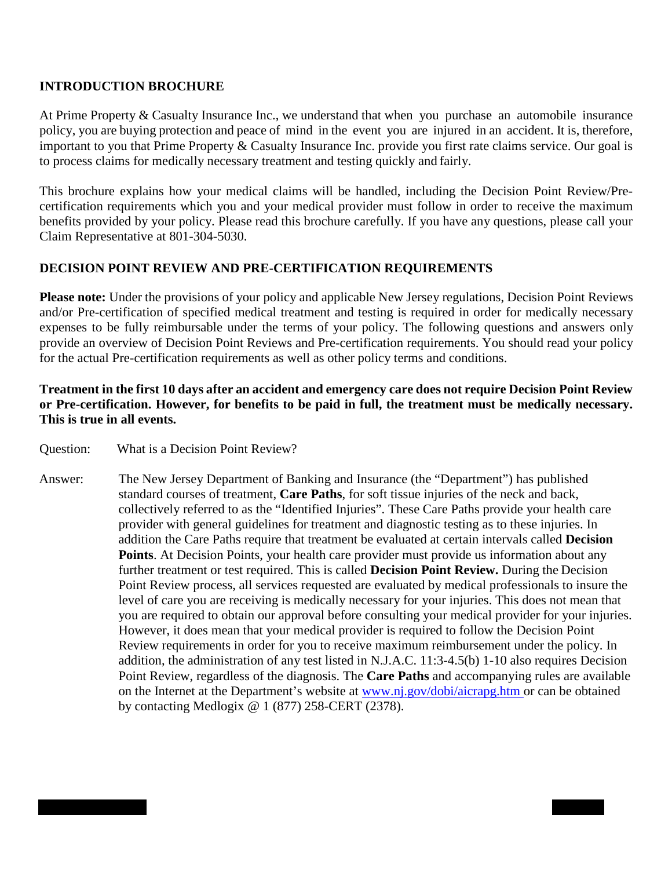#### **INTRODUCTION BROCHURE**

At Prime Property & Casualty Insurance Inc., we understand that when you purchase an automobile insurance policy, you are buying protection and peace of mind in the event you are injured in an accident. It is, therefore, important to you that Prime Property & Casualty Insurance Inc. provide you first rate claims service. Our goal is to process claims for medically necessary treatment and testing quickly and fairly.

This brochure explains how your medical claims will be handled, including the Decision Point Review/Precertification requirements which you and your medical provider must follow in order to receive the maximum benefits provided by your policy. Please read this brochure carefully. If you have any questions, please call your Claim Representative at 801-304-5030.

#### **DECISION POINT REVIEW AND PRE-CERTIFICATION REQUIREMENTS**

**Please note:** Under the provisions of your policy and applicable New Jersey regulations, Decision Point Reviews and/or Pre-certification of specified medical treatment and testing is required in order for medically necessary expenses to be fully reimbursable under the terms of your policy. The following questions and answers only provide an overview of Decision Point Reviews and Pre-certification requirements. You should read your policy for the actual Pre-certification requirements as well as other policy terms and conditions.

## **Treatment in the first 10 days after an accident and emergency care does not require Decision Point Review or Pre-certification. However, for benefits to be paid in full, the treatment must be medically necessary. This is true in all events.**

- Question: What is a Decision Point Review?
- Answer: The New Jersey Department of Banking and Insurance (the "Department") has published standard courses of treatment, **Care Paths**, for soft tissue injuries of the neck and back, collectively referred to as the "Identified Injuries". These Care Paths provide your health care provider with general guidelines for treatment and diagnostic testing as to these injuries. In addition the Care Paths require that treatment be evaluated at certain intervals called **Decision Points**. At Decision Points, your health care provider must provide us information about any further treatment or test required. This is called **Decision Point Review.** During the Decision Point Review process, all services requested are evaluated by medical professionals to insure the level of care you are receiving is medically necessary for your injuries. This does not mean that you are required to obtain our approval before consulting your medical provider for your injuries. However, it does mean that your medical provider is required to follow the Decision Point Review requirements in order for you to receive maximum reimbursement under the policy. In addition, the administration of any test listed in N.J.A.C. 11:3-4.5(b) 1-10 also requires Decision Point Review, regardless of the diagnosis. The **Care Paths** and accompanying rules are available on the Internet at the Department's website at [www.nj.gov/dobi/aicrapg.htm o](http://www.nj.gov/dobi/aicrapg.htm)r can be obtained by contacting Medlogix @ 1 (877) 258-CERT (2378).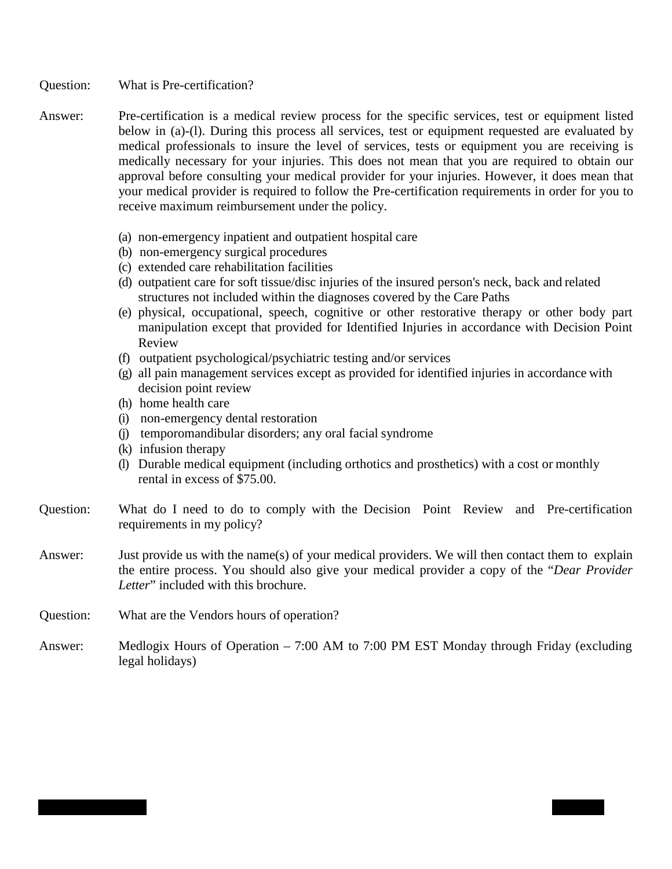- Question: What is Pre-certification?
- Answer: Pre-certification is a medical review process for the specific services, test or equipment listed below in (a)-(l). During this process all services, test or equipment requested are evaluated by medical professionals to insure the level of services, tests or equipment you are receiving is medically necessary for your injuries. This does not mean that you are required to obtain our approval before consulting your medical provider for your injuries. However, it does mean that your medical provider is required to follow the Pre-certification requirements in order for you to receive maximum reimbursement under the policy.
	- (a) non-emergency inpatient and outpatient hospital care
	- (b) non-emergency surgical procedures
	- (c) extended care rehabilitation facilities
	- (d) outpatient care for soft tissue/disc injuries of the insured person's neck, back and related structures not included within the diagnoses covered by the Care Paths
	- (e) physical, occupational, speech, cognitive or other restorative therapy or other body part manipulation except that provided for Identified Injuries in accordance with Decision Point Review
	- (f) outpatient psychological/psychiatric testing and/or services
	- (g) all pain management services except as provided for identified injuries in accordance with decision point review
	- (h) home health care
	- (i) non-emergency dental restoration
	- (j) temporomandibular disorders; any oral facial syndrome
	- (k) infusion therapy
	- (l) Durable medical equipment (including orthotics and prosthetics) with a cost or monthly rental in excess of \$75.00.
- Question: What do I need to do to comply with the Decision Point Review and Pre-certification requirements in my policy?
- Answer: Just provide us with the name(s) of your medical providers. We will then contact them to explain the entire process. You should also give your medical provider a copy of the "*Dear Provider Letter*" included with this brochure.
- Question: What are the Vendors hours of operation?
- Answer: Medlogix Hours of Operation 7:00 AM to 7:00 PM EST Monday through Friday (excluding legal holidays)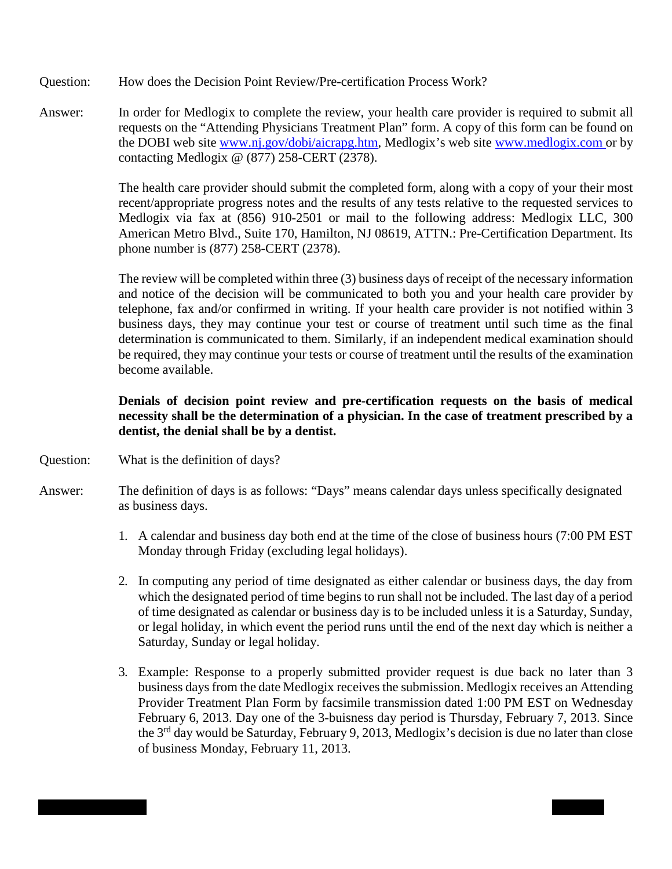- Question: How does the Decision Point Review/Pre-certification Process Work?
- Answer: In order for Medlogix to complete the review, your health care provider is required to submit all requests on the "Attending Physicians Treatment Plan" form. A copy of this form can be found on the DOBI web site [www.nj.gov/dobi/aicrapg.htm,](http://www.nj.gov/dobi/aicrapg.htm) Medlogix's web site www.medlogix.com or by contacting Medlogix @ (877) 258-CERT (2378).

The health care provider should submit the completed form, along with a copy of your their most recent/appropriate progress notes and the results of any tests relative to the requested services to Medlogix via fax at (856) 910-2501 or mail to the following address: Medlogix LLC, 300 American Metro Blvd., Suite 170, Hamilton, NJ 08619, ATTN.: Pre-Certification Department. Its phone number is (877) 258-CERT (2378).

The review will be completed within three (3) business days of receipt of the necessary information and notice of the decision will be communicated to both you and your health care provider by telephone, fax and/or confirmed in writing. If your health care provider is not notified within 3 business days, they may continue your test or course of treatment until such time as the final determination is communicated to them. Similarly, if an independent medical examination should be required, they may continue your tests or course of treatment until the results of the examination become available.

## **Denials of decision point review and pre-certification requests on the basis of medical necessity shall be the determination of a physician. In the case of treatment prescribed by a dentist, the denial shall be by a dentist.**

- Question: What is the definition of days?
- Answer: The definition of days is as follows: "Days" means calendar days unless specifically designated as business days.
	- 1. A calendar and business day both end at the time of the close of business hours (7:00 PM EST Monday through Friday (excluding legal holidays).
	- 2. In computing any period of time designated as either calendar or business days, the day from which the designated period of time begins to run shall not be included. The last day of a period of time designated as calendar or business day is to be included unless it is a Saturday, Sunday, or legal holiday, in which event the period runs until the end of the next day which is neither a Saturday, Sunday or legal holiday.
	- 3. Example: Response to a properly submitted provider request is due back no later than 3 business days from the date Medlogix receives the submission. Medlogix receives an Attending Provider Treatment Plan Form by facsimile transmission dated 1:00 PM EST on Wednesday February 6, 2013. Day one of the 3-buisness day period is Thursday, February 7, 2013. Since the 3rd day would be Saturday, February 9, 2013, Medlogix's decision is due no later than close of business Monday, February 11, 2013.

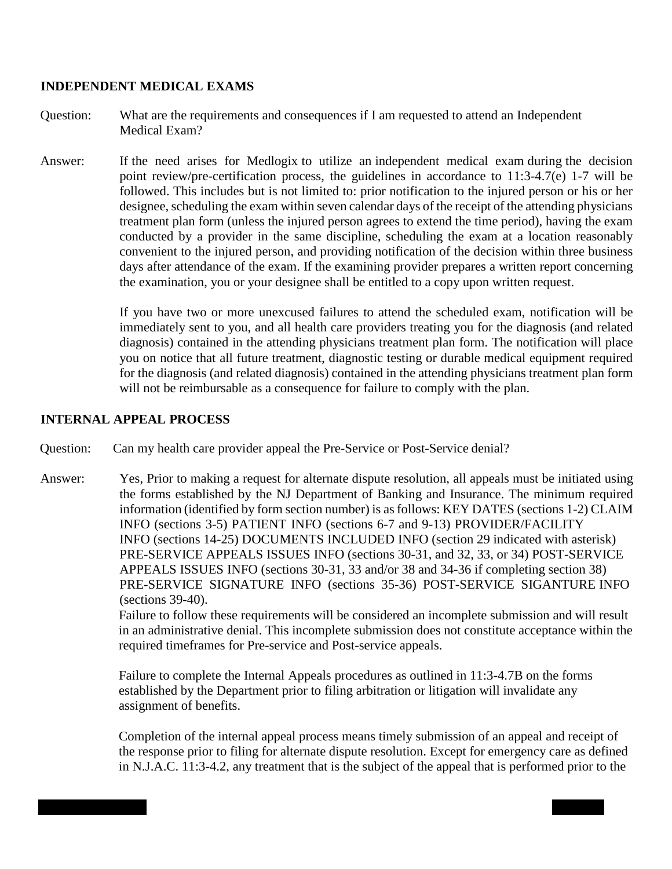#### **INDEPENDENT MEDICAL EXAMS**

- Question: What are the requirements and consequences if I am requested to attend an Independent Medical Exam?
- Answer: If the need arises for Medlogix to utilize an independent medical exam during the decision point review/pre-certification process, the guidelines in accordance to 11:3-4.7(e) 1-7 will be followed. This includes but is not limited to: prior notification to the injured person or his or her designee, scheduling the exam within seven calendar days of the receipt of the attending physicians treatment plan form (unless the injured person agrees to extend the time period), having the exam conducted by a provider in the same discipline, scheduling the exam at a location reasonably convenient to the injured person, and providing notification of the decision within three business days after attendance of the exam. If the examining provider prepares a written report concerning the examination, you or your designee shall be entitled to a copy upon written request.

If you have two or more unexcused failures to attend the scheduled exam, notification will be immediately sent to you, and all health care providers treating you for the diagnosis (and related diagnosis) contained in the attending physicians treatment plan form. The notification will place you on notice that all future treatment, diagnostic testing or durable medical equipment required for the diagnosis (and related diagnosis) contained in the attending physicians treatment plan form will not be reimbursable as a consequence for failure to comply with the plan.

## **INTERNAL APPEAL PROCESS**

Question: Can my health care provider appeal the Pre-Service or Post-Service denial?

Answer: Yes, Prior to making a request for alternate dispute resolution, all appeals must be initiated using the forms established by the NJ Department of Banking and Insurance. The minimum required information (identified by form section number) is as follows: KEY DATES (sections 1-2) CLAIM INFO (sections 3-5) PATIENT INFO (sections 6-7 and 9-13) PROVIDER/FACILITY INFO (sections 14-25) DOCUMENTS INCLUDED INFO (section 29 indicated with asterisk) PRE-SERVICE APPEALS ISSUES INFO (sections 30-31, and 32, 33, or 34) POST-SERVICE APPEALS ISSUES INFO (sections 30-31, 33 and/or 38 and 34-36 if completing section 38) PRE-SERVICE SIGNATURE INFO (sections 35-36) POST-SERVICE SIGANTURE INFO (sections 39-40).

> Failure to follow these requirements will be considered an incomplete submission and will result in an administrative denial. This incomplete submission does not constitute acceptance within the required timeframes for Pre-service and Post-service appeals.

Failure to complete the Internal Appeals procedures as outlined in 11:3-4.7B on the forms established by the Department prior to filing arbitration or litigation will invalidate any assignment of benefits.

Completion of the internal appeal process means timely submission of an appeal and receipt of the response prior to filing for alternate dispute resolution. Except for emergency care as defined in N.J.A.C. 11:3-4.2, any treatment that is the subject of the appeal that is performed prior to the

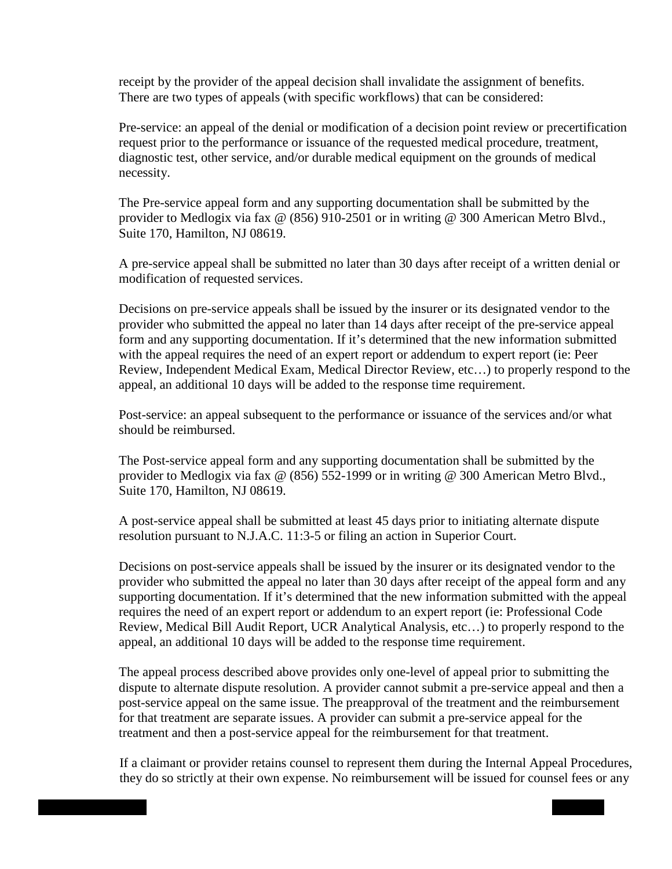receipt by the provider of the appeal decision shall invalidate the assignment of benefits. There are two types of appeals (with specific workflows) that can be considered:

Pre-service: an appeal of the denial or modification of a decision point review or precertification request prior to the performance or issuance of the requested medical procedure, treatment, diagnostic test, other service, and/or durable medical equipment on the grounds of medical necessity.

The Pre-service appeal form and any supporting documentation shall be submitted by the provider to Medlogix via fax @ (856) 910-2501 or in writing @ 300 American Metro Blvd., Suite 170, Hamilton, NJ 08619.

A pre-service appeal shall be submitted no later than 30 days after receipt of a written denial or modification of requested services.

Decisions on pre-service appeals shall be issued by the insurer or its designated vendor to the provider who submitted the appeal no later than 14 days after receipt of the pre-service appeal form and any supporting documentation. If it's determined that the new information submitted with the appeal requires the need of an expert report or addendum to expert report (ie: Peer Review, Independent Medical Exam, Medical Director Review, etc…) to properly respond to the appeal, an additional 10 days will be added to the response time requirement.

Post-service: an appeal subsequent to the performance or issuance of the services and/or what should be reimbursed.

The Post-service appeal form and any supporting documentation shall be submitted by the provider to Medlogix via fax @ (856) 552-1999 or in writing @ 300 American Metro Blvd., Suite 170, Hamilton, NJ 08619.

A post-service appeal shall be submitted at least 45 days prior to initiating alternate dispute resolution pursuant to N.J.A.C. 11:3-5 or filing an action in Superior Court.

Decisions on post-service appeals shall be issued by the insurer or its designated vendor to the provider who submitted the appeal no later than 30 days after receipt of the appeal form and any supporting documentation. If it's determined that the new information submitted with the appeal requires the need of an expert report or addendum to an expert report (ie: Professional Code Review, Medical Bill Audit Report, UCR Analytical Analysis, etc…) to properly respond to the appeal, an additional 10 days will be added to the response time requirement.

The appeal process described above provides only one-level of appeal prior to submitting the dispute to alternate dispute resolution. A provider cannot submit a pre-service appeal and then a post-service appeal on the same issue. The preapproval of the treatment and the reimbursement for that treatment are separate issues. A provider can submit a pre-service appeal for the treatment and then a post-service appeal for the reimbursement for that treatment.

If a claimant or provider retains counsel to represent them during the Internal Appeal Procedures, they do so strictly at their own expense. No reimbursement will be issued for counsel fees or any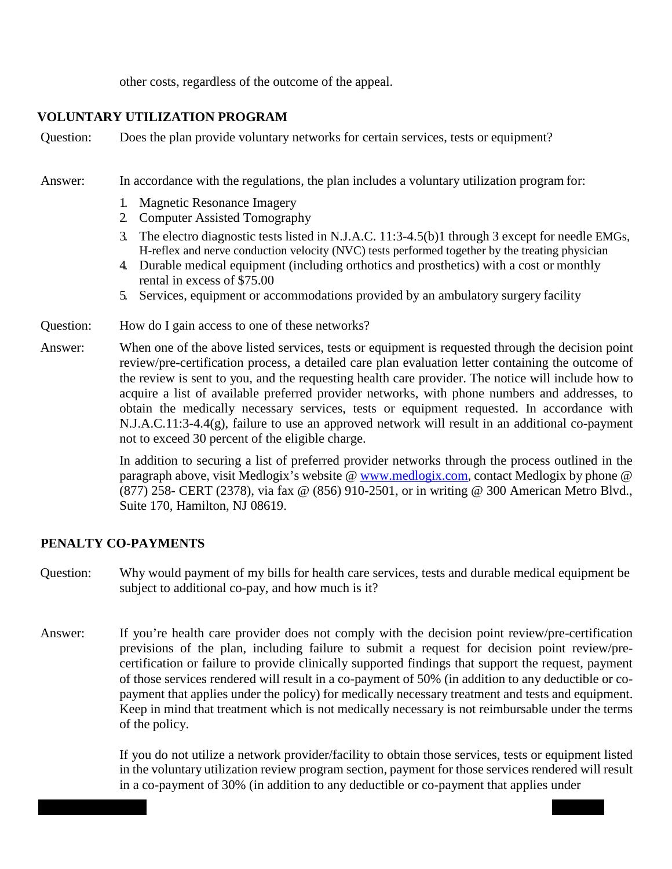other costs, regardless of the outcome of the appeal.

## **VOLUNTARY UTILIZATION PROGRAM**

Question: Does the plan provide voluntary networks for certain services, tests or equipment?

Answer: In accordance with the regulations, the plan includes a voluntary utilization program for:

- 1. Magnetic Resonance Imagery
- 2. Computer Assisted Tomography
- 3. The electro diagnostic tests listed in N.J.A.C. 11:3-4.5(b)1 through 3 except for needle EMGs, H-reflex and nerve conduction velocity (NVC) tests performed together by the treating physician
- 4. Durable medical equipment (including orthotics and prosthetics) with a cost or monthly rental in excess of \$75.00
- 5. Services, equipment or accommodations provided by an ambulatory surgery facility
- Question: How do I gain access to one of these networks?
- Answer: When one of the above listed services, tests or equipment is requested through the decision point review/pre-certification process, a detailed care plan evaluation letter containing the outcome of the review is sent to you, and the requesting health care provider. The notice will include how to acquire a list of available preferred provider networks, with phone numbers and addresses, to obtain the medically necessary services, tests or equipment requested. In accordance with N.J.A.C.11:3-4.4(g), failure to use an approved network will result in an additional co-payment not to exceed 30 percent of the eligible charge.

In addition to securing a list of preferred provider networks through the process outlined in the paragraph above, visit Medlogix's website @ [www.medlogix.com,](http://www.medlogix.com/) contact Medlogix by phone @ (877) 258- CERT (2378), via fax @ (856) 910-2501, or in writing @ 300 American Metro Blvd., Suite 170, Hamilton, NJ 08619.

#### **PENALTY CO-PAYMENTS**

- Question: Why would payment of my bills for health care services, tests and durable medical equipment be subject to additional co-pay, and how much is it?
- Answer: If you're health care provider does not comply with the decision point review/pre-certification previsions of the plan, including failure to submit a request for decision point review/precertification or failure to provide clinically supported findings that support the request, payment of those services rendered will result in a co-payment of 50% (in addition to any deductible or copayment that applies under the policy) for medically necessary treatment and tests and equipment. Keep in mind that treatment which is not medically necessary is not reimbursable under the terms of the policy.

If you do not utilize a network provider/facility to obtain those services, tests or equipment listed in the voluntary utilization review program section, payment for those services rendered will result in a co-payment of 30% (in addition to any deductible or co-payment that applies under